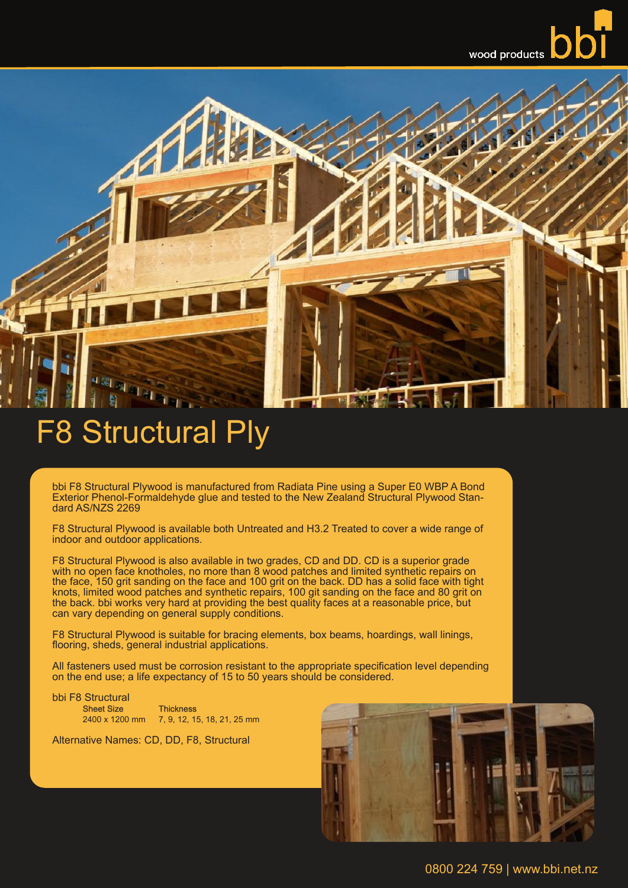

## F8 Structural Ply

bbi F8 Structural Plywood is manufactured from Radiata Pine using a Super E0 WBP A Bond Exterior Phenol-Formaldehyde glue and tested to the New Zealand Structural Plywood Stan- dard AS/NZS 2269

F8 Structural Plywood is available both Untreated and H3.2 Treated to cover a wide range of indoor and outdoor applications.

F8 Structural Plywood is also available in two grades, CD and DD. CD is a superior grade with no open face knotholes, no more than 8 wood patches and limited synthetic repairs on the face, 150 grit sanding on the face and 100 grit on the back. DD has a solid face with tight knots, limited wood patches and synthetic repairs, 100 git sanding on the face and 80 grit on the back. bbi works very hard at providing the best quality faces at a reasonable price, but can vary depending on general supply conditions.

F8 Structural Plywood is suitable for bracing elements, box beams, hoardings, wall linings, flooring, sheds, general industrial applications.

All fasteners used must be corrosion resistant to the appropriate specification level depending on the end use; a life expectancy of 15 to 50 years should be considered.

bbi F8 Structural **Thickness** 2400 x 1200 mm 7, 9, 12, 15, 18, 21, 25 mm

Alternative Names: CD, DD, F8, Structural